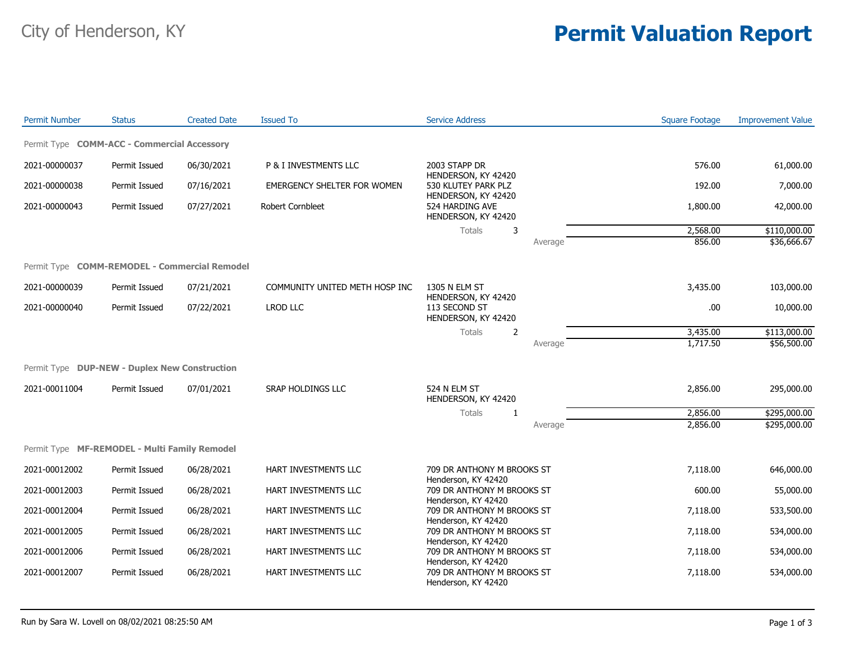## City of Henderson, KY **Permit Valuation Report**

| <b>Permit Number</b>                               | <b>Status</b> | <b>Created Date</b> | <b>Issued To</b>               | <b>Service Address</b>                                        | <b>Square Footage</b> | <b>Improvement Value</b> |
|----------------------------------------------------|---------------|---------------------|--------------------------------|---------------------------------------------------------------|-----------------------|--------------------------|
| Permit Type <b>COMM-ACC - Commercial Accessory</b> |               |                     |                                |                                                               |                       |                          |
| 2021-00000037                                      | Permit Issued | 06/30/2021          | P & I INVESTMENTS LLC          | 2003 STAPP DR                                                 | 576.00                | 61,000.00                |
| 2021-00000038                                      | Permit Issued | 07/16/2021          | EMERGENCY SHELTER FOR WOMEN    | HENDERSON, KY 42420<br>530 KLUTEY PARK PLZ                    | 192.00                | 7,000.00                 |
| 2021-00000043                                      | Permit Issued | 07/27/2021          | Robert Cornbleet               | HENDERSON, KY 42420<br>524 HARDING AVE<br>HENDERSON, KY 42420 | 1,800.00              | 42,000.00                |
|                                                    |               |                     |                                | 3<br>Totals                                                   | 2,568.00              | \$110,000.00             |
|                                                    |               |                     |                                | Average                                                       | 856.00                | \$36,666.67              |
| Permit Type COMM-REMODEL - Commercial Remodel      |               |                     |                                |                                                               |                       |                          |
| 2021-00000039                                      | Permit Issued | 07/21/2021          | COMMUNITY UNITED METH HOSP INC | 1305 N ELM ST<br>HENDERSON, KY 42420                          | 3,435.00              | 103,000.00               |
| 2021-00000040                                      | Permit Issued | 07/22/2021          | LROD LLC                       | 113 SECOND ST<br>HENDERSON, KY 42420                          | .00                   | 10,000.00                |
|                                                    |               |                     |                                | Totals<br>2                                                   | 3,435.00              | \$113,000.00             |
|                                                    |               |                     |                                | Average                                                       | 1,717.50              | \$56,500.00              |
| Permit Type DUP-NEW - Duplex New Construction      |               |                     |                                |                                                               |                       |                          |
| 2021-00011004                                      | Permit Issued | 07/01/2021          | SRAP HOLDINGS LLC              | 524 N ELM ST<br>HENDERSON, KY 42420                           | 2,856.00              | 295,000.00               |
|                                                    |               |                     |                                | Totals<br>$\mathbf{1}$                                        | 2,856.00              | \$295,000.00             |
|                                                    |               |                     |                                | Average                                                       | 2,856.00              | \$295,000.00             |
| Permit Type MF-REMODEL - Multi Family Remodel      |               |                     |                                |                                                               |                       |                          |
| 2021-00012002                                      | Permit Issued | 06/28/2021          | HART INVESTMENTS LLC           | 709 DR ANTHONY M BROOKS ST<br>Henderson, KY 42420             | 7,118.00              | 646,000.00               |
| 2021-00012003                                      | Permit Issued | 06/28/2021          | HART INVESTMENTS LLC           | 709 DR ANTHONY M BROOKS ST<br>Henderson, KY 42420             | 600.00                | 55,000.00                |
| 2021-00012004                                      | Permit Issued | 06/28/2021          | HART INVESTMENTS LLC           | 709 DR ANTHONY M BROOKS ST<br>Henderson, KY 42420             | 7,118.00              | 533,500.00               |
| 2021-00012005                                      | Permit Issued | 06/28/2021          | HART INVESTMENTS LLC           | 709 DR ANTHONY M BROOKS ST<br>Henderson, KY 42420             | 7,118.00              | 534,000.00               |
| 2021-00012006                                      | Permit Issued | 06/28/2021          | HART INVESTMENTS LLC           | 709 DR ANTHONY M BROOKS ST<br>Henderson, KY 42420             | 7,118.00              | 534,000.00               |
| 2021-00012007                                      | Permit Issued | 06/28/2021          | HART INVESTMENTS LLC           | 709 DR ANTHONY M BROOKS ST<br>Henderson, KY 42420             | 7,118.00              | 534,000.00               |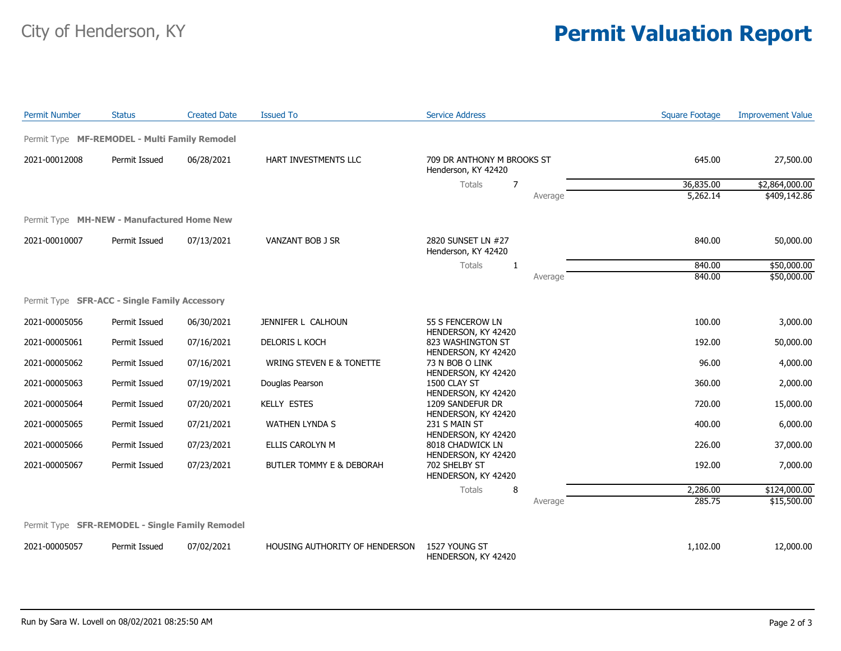## City of Henderson, KY **Permit Valuation Report**

| <b>Permit Number</b> | <b>Status</b>                                   | <b>Created Date</b> | <b>Issued To</b>                    | <b>Service Address</b>                                      |         | <b>Square Footage</b> | <b>Improvement Value</b> |
|----------------------|-------------------------------------------------|---------------------|-------------------------------------|-------------------------------------------------------------|---------|-----------------------|--------------------------|
|                      | Permit Type MF-REMODEL - Multi Family Remodel   |                     |                                     |                                                             |         |                       |                          |
| 2021-00012008        | Permit Issued                                   | 06/28/2021          | HART INVESTMENTS LLC                | 709 DR ANTHONY M BROOKS ST<br>Henderson, KY 42420           |         | 645.00                | 27,500.00                |
|                      |                                                 |                     |                                     | $\overline{7}$<br>Totals                                    |         | 36,835.00             | \$2,864,000.00           |
|                      |                                                 |                     |                                     |                                                             | Average | 5,262.14              | \$409,142.86             |
|                      | Permit Type MH-NEW - Manufactured Home New      |                     |                                     |                                                             |         |                       |                          |
| 2021-00010007        | Permit Issued                                   | 07/13/2021          | VANZANT BOB J SR                    | 2820 SUNSET LN #27<br>Henderson, KY 42420                   |         | 840.00                | 50,000.00                |
|                      |                                                 |                     |                                     | Totals<br>-1                                                |         | 840.00                | \$50,000.00              |
|                      |                                                 |                     |                                     |                                                             | Average | 840.00                | \$50,000.00              |
|                      | Permit Type SFR-ACC - Single Family Accessory   |                     |                                     |                                                             |         |                       |                          |
| 2021-00005056        | Permit Issued                                   | 06/30/2021          | JENNIFER L CALHOUN                  | 55 S FENCEROW LN<br>HENDERSON, KY 42420                     |         | 100.00                | 3,000.00                 |
| 2021-00005061        | Permit Issued                                   | 07/16/2021          | DELORIS L KOCH                      | 823 WASHINGTON ST<br>HENDERSON, KY 42420                    |         | 192.00                | 50,000.00                |
| 2021-00005062        | Permit Issued                                   | 07/16/2021          | <b>WRING STEVEN E &amp; TONETTE</b> | 73 N BOB O LINK<br>HENDERSON, KY 42420                      |         | 96.00                 | 4,000.00                 |
| 2021-00005063        | Permit Issued                                   | 07/19/2021          | Douglas Pearson                     | 1500 CLAY ST<br>HENDERSON, KY 42420                         |         | 360.00                | 2,000.00                 |
| 2021-00005064        | Permit Issued                                   | 07/20/2021          | <b>KELLY ESTES</b>                  | 1209 SANDEFUR DR                                            |         | 720.00                | 15,000.00                |
| 2021-00005065        | Permit Issued                                   | 07/21/2021          | <b>WATHEN LYNDA S</b>               | HENDERSON, KY 42420<br>231 S MAIN ST<br>HENDERSON, KY 42420 |         | 400.00                | 6,000.00                 |
| 2021-00005066        | Permit Issued                                   | 07/23/2021          | ELLIS CAROLYN M                     | 8018 CHADWICK LN                                            |         | 226.00                | 37,000.00                |
| 2021-00005067        | Permit Issued                                   | 07/23/2021          | BUTLER TOMMY E & DEBORAH            | HENDERSON, KY 42420<br>702 SHELBY ST<br>HENDERSON, KY 42420 |         | 192.00                | 7,000.00                 |
|                      |                                                 |                     |                                     | Totals<br>8                                                 |         | 2,286.00              | \$124,000.00             |
|                      |                                                 |                     |                                     |                                                             | Average | 285.75                | \$15,500.00              |
|                      | Permit Type SFR-REMODEL - Single Family Remodel |                     |                                     |                                                             |         |                       |                          |
| 2021-00005057        | Permit Issued                                   | 07/02/2021          | HOUSING AUTHORITY OF HENDERSON      | 1527 YOUNG ST<br>HENDERSON, KY 42420                        |         | 1,102.00              | 12,000.00                |